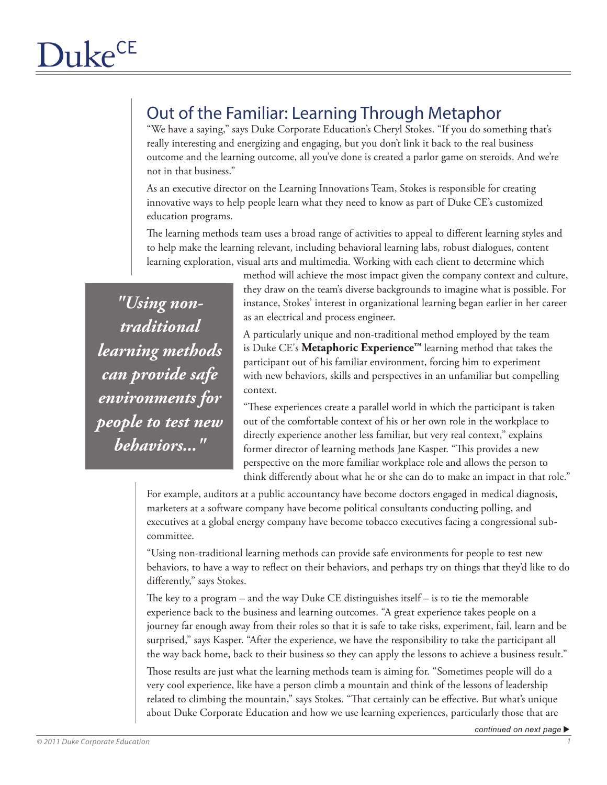## Out of the Familiar: Learning Through Metaphor

"We have a saying," says Duke Corporate Education's Cheryl Stokes. "If you do something that's really interesting and energizing and engaging, but you don't link it back to the real business outcome and the learning outcome, all you've done is created a parlor game on steroids. And we're not in that business."

As an executive director on the Learning Innovations Team, Stokes is responsible for creating innovative ways to help people learn what they need to know as part of Duke CE's customized education programs.

The learning methods team uses a broad range of activities to appeal to different learning styles and to help make the learning relevant, including behavioral learning labs, robust dialogues, content learning exploration, visual arts and multimedia. Working with each client to determine which

*"Using nontraditional learning methods can provide safe environments for people to test new behaviors..."*

method will achieve the most impact given the company context and culture, they draw on the team's diverse backgrounds to imagine what is possible. For instance, Stokes' interest in organizational learning began earlier in her career as an electrical and process engineer.

A particularly unique and non-traditional method employed by the team is Duke CE's **Metaphoric Experience™** learning method that takes the participant out of his familiar environment, forcing him to experiment with new behaviors, skills and perspectives in an unfamiliar but compelling context.

"These experiences create a parallel world in which the participant is taken out of the comfortable context of his or her own role in the workplace to directly experience another less familiar, but very real context," explains former director of learning methods Jane Kasper. "This provides a new perspective on the more familiar workplace role and allows the person to think differently about what he or she can do to make an impact in that role."

For example, auditors at a public accountancy have become doctors engaged in medical diagnosis, marketers at a software company have become political consultants conducting polling, and executives at a global energy company have become tobacco executives facing a congressional subcommittee.

"Using non-traditional learning methods can provide safe environments for people to test new behaviors, to have a way to reflect on their behaviors, and perhaps try on things that they'd like to do differently," says Stokes.

The key to a program – and the way Duke CE distinguishes itself – is to tie the memorable experience back to the business and learning outcomes. "A great experience takes people on a journey far enough away from their roles so that it is safe to take risks, experiment, fail, learn and be surprised," says Kasper. "After the experience, we have the responsibility to take the participant all the way back home, back to their business so they can apply the lessons to achieve a business result."

Those results are just what the learning methods team is aiming for. "Sometimes people will do a very cool experience, like have a person climb a mountain and think of the lessons of leadership related to climbing the mountain," says Stokes. "That certainly can be effective. But what's unique about Duke Corporate Education and how we use learning experiences, particularly those that are